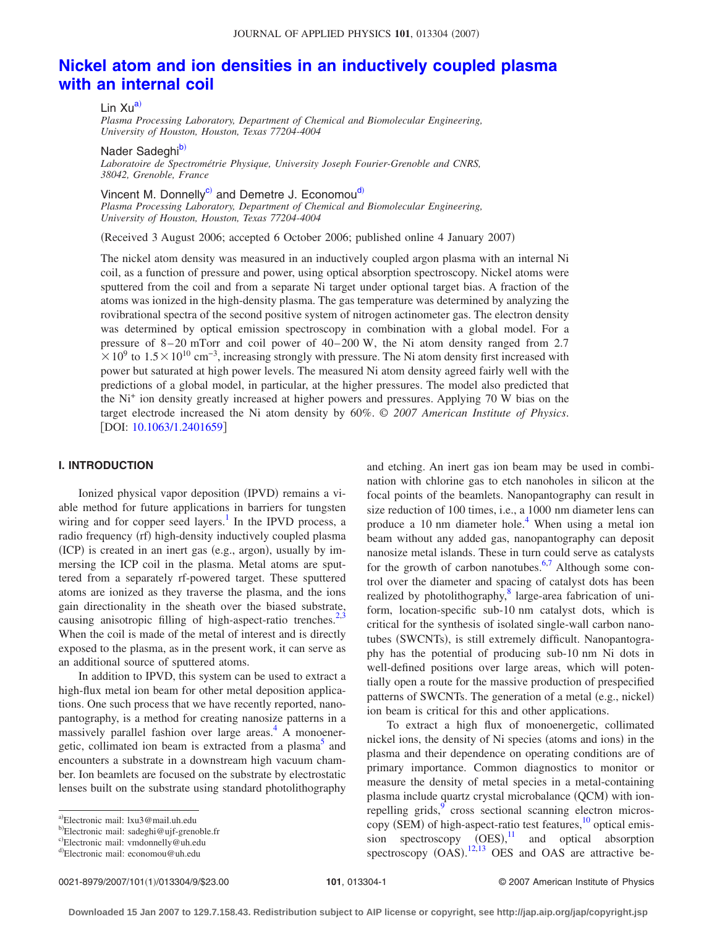# **[Nickel atom and ion densities in an inductively coupled plasma](http://dx.doi.org/10.1063/1.2401659) [with an internal coil](http://dx.doi.org/10.1063/1.2401659)**

Lin Xu<sup>a)</sup>

*Plasma Processing Laboratory, Department of Chemical and Biomolecular Engineering, University of Houston, Houston, Texas 77204-4004*

Nader Sadeghi<sup>b)</sup>

*Laboratoire de Spectrométrie Physique, University Joseph Fourier-Grenoble and CNRS, 38042, Grenoble, France*

Vincent M. Donnelly<sup>c)</sup> and Demetre J. Economou<sup>d)</sup> *Plasma Processing Laboratory, Department of Chemical and Biomolecular Engineering, University of Houston, Houston, Texas 77204-4004*

Received 3 August 2006; accepted 6 October 2006; published online 4 January 2007-

The nickel atom density was measured in an inductively coupled argon plasma with an internal Ni coil, as a function of pressure and power, using optical absorption spectroscopy. Nickel atoms were sputtered from the coil and from a separate Ni target under optional target bias. A fraction of the atoms was ionized in the high-density plasma. The gas temperature was determined by analyzing the rovibrational spectra of the second positive system of nitrogen actinometer gas. The electron density was determined by optical emission spectroscopy in combination with a global model. For a pressure of 8–20 mTorr and coil power of 40–200 W, the Ni atom density ranged from 2.7  $1.5\times10^{10}$  cm<sup>-3</sup>, increasing strongly with pressure. The Ni atom density first increased with power but saturated at high power levels. The measured Ni atom density agreed fairly well with the predictions of a global model, in particular, at the higher pressures. The model also predicted that the Ni+ ion density greatly increased at higher powers and pressures. Applying 70 W bias on the target electrode increased the Ni atom density by 60%. © *2007 American Institute of Physics*. [DOI: [10.1063/1.2401659](http://dx.doi.org/10.1063/1.2401659)]

## **I. INTRODUCTION**

Ionized physical vapor deposition (IPVD) remains a viable method for future applications in barriers for tungsten wiring and for copper seed layers.<sup>1</sup> In the IPVD process, a radio frequency (rf) high-density inductively coupled plasma (ICP) is created in an inert gas (e.g., argon), usually by immersing the ICP coil in the plasma. Metal atoms are sputtered from a separately rf-powered target. These sputtered atoms are ionized as they traverse the plasma, and the ions gain directionality in the sheath over the biased substrate, causing anisotropic filling of high-aspect-ratio trenches.<sup>2[,3](#page-8-0)</sup> When the coil is made of the metal of interest and is directly exposed to the plasma, as in the present work, it can serve as an additional source of sputtered atoms.

In addition to IPVD, this system can be used to extract a high-flux metal ion beam for other metal deposition applications. One such process that we have recently reported, nanopantography, is a method for creating nanosize patterns in a massively parallel fashion over large areas.<sup>4</sup> A monoenergetic, collimated ion beam is extracted from a plasma<sup>5</sup> and encounters a substrate in a downstream high vacuum chamber. Ion beamlets are focused on the substrate by electrostatic lenses built on the substrate using standard photolithography

and etching. An inert gas ion beam may be used in combination with chlorine gas to etch nanoholes in silicon at the focal points of the beamlets. Nanopantography can result in size reduction of 100 times, i.e., a 1000 nm diameter lens can produce a 10 nm diameter hole.<sup>4</sup> When using a metal ion beam without any added gas, nanopantography can deposit nanosize metal islands. These in turn could serve as catalysts for the growth of carbon nanotubes. $6,7$  $6,7$  Although some control over the diameter and spacing of catalyst dots has been realized by photolithography, $8$  large-area fabrication of uniform, location-specific sub-10 nm catalyst dots, which is critical for the synthesis of isolated single-wall carbon nanotubes (SWCNTs), is still extremely difficult. Nanopantography has the potential of producing sub-10 nm Ni dots in well-defined positions over large areas, which will potentially open a route for the massive production of prespecified patterns of SWCNTs. The generation of a metal (e.g., nickel) ion beam is critical for this and other applications.

To extract a high flux of monoenergetic, collimated nickel ions, the density of Ni species (atoms and ions) in the plasma and their dependence on operating conditions are of primary importance. Common diagnostics to monitor or measure the density of metal species in a metal-containing plasma include quartz crystal microbalance (QCM) with ionrepelling grids,<sup>9</sup> cross sectional scanning electron microscopy (SEM) of high-aspect-ratio test features, $10$  optical emission spectroscopy  $(OES)$ ,<sup>[11](#page-8-8)</sup> and optical absorption spectroscopy  $(OAS)$ .<sup>[12](#page-8-9)[,13](#page-8-10)</sup> OES and OAS are attractive be-

<span id="page-0-0"></span>a)Electronic mail: lxu3@mail.uh.edu

<span id="page-0-1"></span><sup>&</sup>lt;sup>b)</sup>Electronic mail: sadeghi@ujf-grenoble.fr

<span id="page-0-2"></span>c)Electronic mail: vmdonnelly@uh.edu

<span id="page-0-3"></span>d)Electronic mail: economou@uh.edu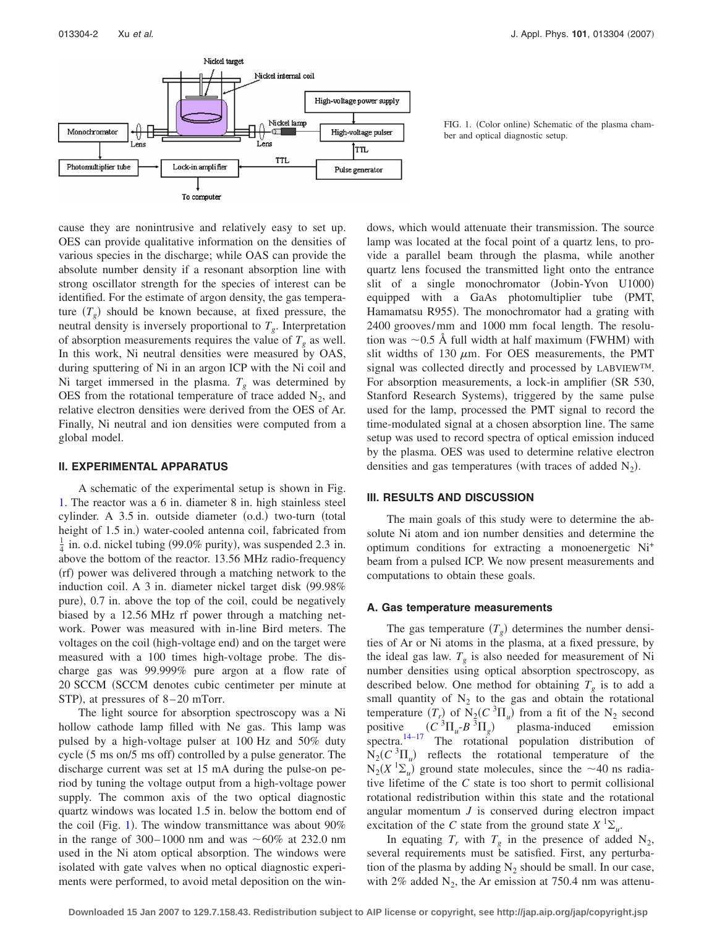<span id="page-1-0"></span>

FIG. 1. (Color online) Schematic of the plasma chamber and optical diagnostic setup.

cause they are nonintrusive and relatively easy to set up. OES can provide qualitative information on the densities of various species in the discharge; while OAS can provide the absolute number density if a resonant absorption line with strong oscillator strength for the species of interest can be identified. For the estimate of argon density, the gas temperature  $(T_g)$  should be known because, at fixed pressure, the neutral density is inversely proportional to  $T<sub>g</sub>$ . Interpretation of absorption measurements requires the value of  $T_g$  as well. In this work, Ni neutral densities were measured by OAS, during sputtering of Ni in an argon ICP with the Ni coil and Ni target immersed in the plasma.  $T_g$  was determined by OES from the rotational temperature of trace added  $N_2$ , and relative electron densities were derived from the OES of Ar. Finally, Ni neutral and ion densities were computed from a global model.

## **II. EXPERIMENTAL APPARATUS**

A schematic of the experimental setup is shown in Fig. [1.](#page-1-0) The reactor was a 6 in. diameter 8 in. high stainless steel cylinder. A 3.5 in. outside diameter (o.d.) two-turn (total height of 1.5 in.) water-cooled antenna coil, fabricated from  $\frac{1}{4}$  in. o.d. nickel tubing (99.0% purity), was suspended 2.3 in. above the bottom of the reactor. 13.56 MHz radio-frequency (rf) power was delivered through a matching network to the induction coil. A  $3$  in. diameter nickel target disk  $(99.98\%$ pure), 0.7 in. above the top of the coil, could be negatively biased by a 12.56 MHz rf power through a matching network. Power was measured with in-line Bird meters. The voltages on the coil (high-voltage end) and on the target were measured with a 100 times high-voltage probe. The discharge gas was 99.999% pure argon at a flow rate of 20 SCCM (SCCM denotes cubic centimeter per minute at STP), at pressures of 8-20 mTorr.

The light source for absorption spectroscopy was a Ni hollow cathode lamp filled with Ne gas. This lamp was pulsed by a high-voltage pulser at 100 Hz and 50% duty cycle (5 ms on/5 ms off) controlled by a pulse generator. The discharge current was set at 15 mA during the pulse-on period by tuning the voltage output from a high-voltage power supply. The common axis of the two optical diagnostic quartz windows was located 1.5 in. below the bottom end of the coil (Fig. [1](#page-1-0)). The window transmittance was about  $90\%$ in the range of 300–1000 nm and was  $\sim 60\%$  at 232.0 nm used in the Ni atom optical absorption. The windows were isolated with gate valves when no optical diagnostic experiments were performed, to avoid metal deposition on the windows, which would attenuate their transmission. The source lamp was located at the focal point of a quartz lens, to provide a parallel beam through the plasma, while another quartz lens focused the transmitted light onto the entrance slit of a single monochromator (Jobin-Yvon U1000) equipped with a GaAs photomultiplier tube (PMT, Hamamatsu R955). The monochromator had a grating with 2400 grooves/mm and 1000 mm focal length. The resolution was  $\sim 0.5$  Å full width at half maximum (FWHM) with slit widths of 130  $\mu$ m. For OES measurements, the PMT signal was collected directly and processed by LABVIEW™. For absorption measurements, a lock-in amplifier (SR 530, Stanford Research Systems), triggered by the same pulse used for the lamp, processed the PMT signal to record the time-modulated signal at a chosen absorption line. The same setup was used to record spectra of optical emission induced by the plasma. OES was used to determine relative electron densities and gas temperatures (with traces of added  $N_2$ ).

#### **III. RESULTS AND DISCUSSION**

The main goals of this study were to determine the absolute Ni atom and ion number densities and determine the optimum conditions for extracting a monoenergetic Ni+ beam from a pulsed ICP. We now present measurements and computations to obtain these goals.

#### **A. Gas temperature measurements**

The gas temperature  $(T_g)$  determines the number densities of Ar or Ni atoms in the plasma, at a fixed pressure, by the ideal gas law.  $T_g$  is also needed for measurement of Ni number densities using optical absorption spectroscopy, as described below. One method for obtaining  $T_g$  is to add a small quantity of  $N_2$  to the gas and obtain the rotational temperature  $(T_r)$  of  $N_2(C^3\Pi_u)$  from a fit of the  $N_2$  second positive  $(C^{3}\Pi_{u} - B^{3}\Pi_{g})$  plasma-induced emission spectra.<sup>14[–17](#page-8-12)</sup> The rotational population distribution of  $N_2(C_1^3\Pi_u)$  reflects the rotational temperature of the  $N_2(X^{-1}\Sigma_u)$  ground state molecules, since the  $\sim$ 40 ns radiative lifetime of the *C* state is too short to permit collisional rotational redistribution within this state and the rotational angular momentum *J* is conserved during electron impact excitation of the *C* state from the ground state  $X^1 \Sigma_u$ .

In equating  $T_r$  with  $T_g$  in the presence of added N<sub>2</sub>, several requirements must be satisfied. First, any perturbation of the plasma by adding  $N_2$  should be small. In our case, with 2% added  $N_2$ , the Ar emission at 750.4 nm was attenu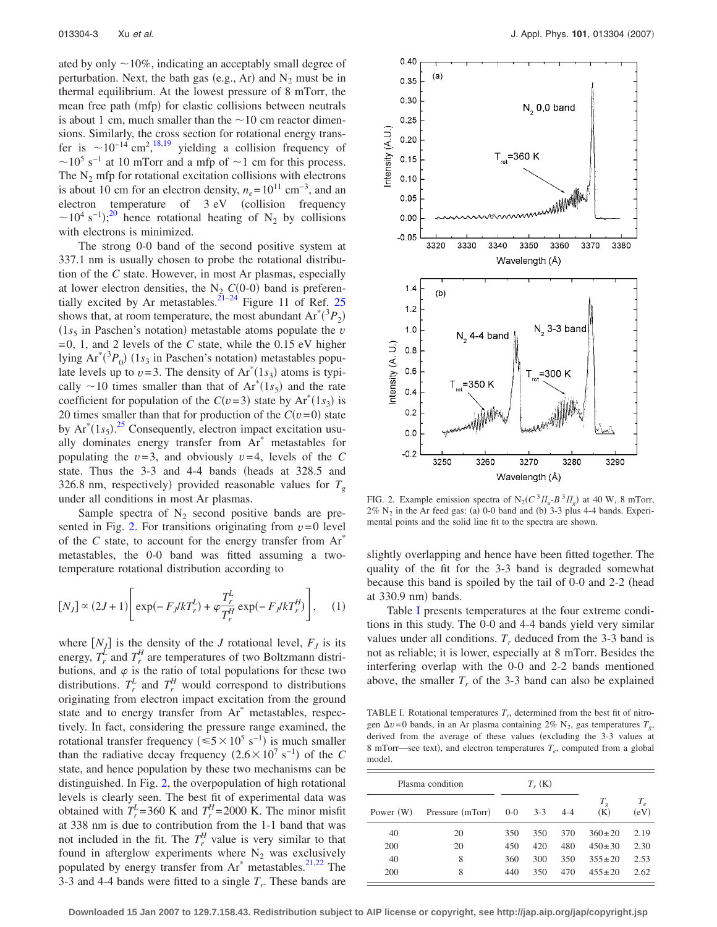ated by only  $\sim$ 10%, indicating an acceptably small degree of perturbation. Next, the bath gas (e.g., Ar) and  $N_2$  must be in thermal equilibrium. At the lowest pressure of 8 mTorr, the mean free path (mfp) for elastic collisions between neutrals is about 1 cm, much smaller than the  $\sim$  10 cm reactor dimensions. Similarly, the cross section for rotational energy transfer is  $\sim 10^{-14}$  cm<sup>2</sup>,<sup>[18,](#page-8-13)[19](#page-8-14)</sup> yielding a collision frequency of  $\sim$ 10<sup>5</sup> s<sup>-1</sup> at 10 mTorr and a mfp of  $\sim$ 1 cm for this process. The  $N_2$  mfp for rotational excitation collisions with electrons is about 10 cm for an electron density,  $n_e$ =10<sup>11</sup> cm<sup>-3</sup>, and an electron temperature of 3 eV (collision frequency  $\sim$ 10<sup>4</sup> s<sup>-1</sup>);<sup>[20](#page-8-15)</sup> hence rotational heating of N<sub>2</sub> by collisions with electrons is minimized.

The strong 0-0 band of the second positive system at 337.1 nm is usually chosen to probe the rotational distribution of the *C* state. However, in most Ar plasmas, especially at lower electron densities, the  $N_2$   $C(0-0)$  band is preferen-tially excited by Ar metastables.<sup>21-[24](#page-8-17)</sup> Figure 11 of Ref. [25](#page-8-18) shows that, at room temperature, the most abundant  $Ar^*(^3P_2)$  $(1s<sub>5</sub>$  in Paschen's notation) metastable atoms populate the *v* =0, 1, and 2 levels of the *C* state, while the 0.15 eV higher lying  $Ar^*(^3P_0)$  (1s<sub>3</sub> in Paschen's notation) metastables populate levels up to  $v=3$ . The density of  $Ar^*(1s_3)$  atoms is typically  $\sim$ 10 times smaller than that of  $Ar^*(1s_5)$  and the rate coefficient for population of the  $C(v=3)$  state by  $Ar^*(1s_3)$  is 20 times smaller than that for production of the  $C(v=0)$  state by  $Ar^{*}(1s_{5})$ .<sup>[25](#page-8-18)</sup> Consequently, electron impact excitation usually dominates energy transfer from Ar\* metastables for populating the  $v=3$ , and obviously  $v=4$ , levels of the C state. Thus the  $3-3$  and  $4-4$  bands (heads at  $328.5$  and 326.8 nm, respectively) provided reasonable values for  $T_g$ under all conditions in most Ar plasmas.

Sample spectra of  $N_2$  second positive bands are pre-sented in Fig. [2.](#page-2-0) For transitions originating from  $v=0$  level of the *C* state, to account for the energy transfer from Ar<sup>\*</sup> metastables, the 0-0 band was fitted assuming a twotemperature rotational distribution according to

$$
[N_J] \propto (2J+1) \left[ \exp(-F_J/kT_r^L) + \varphi \frac{T_r^L}{T_r^H} \exp(-F_J/kT_r^H) \right], \quad (1)
$$

where  $[N_J]$  is the density of the *J* rotational level,  $F_J$  is its energy,  $T_r^{\overline{L}}$  and  $T_r^H$  are temperatures of two Boltzmann distributions, and  $\varphi$  is the ratio of total populations for these two distributions.  $T_r^L$  and  $T_r^H$  would correspond to distributions originating from electron impact excitation from the ground state and to energy transfer from Ar\* metastables, respectively. In fact, considering the pressure range examined, the rotational transfer frequency ( $\leq 5 \times 10^5$  s<sup>-1</sup>) is much smaller than the radiative decay frequency  $(2.6 \times 10^7 \text{ s}^{-1})$  of the *C* state, and hence population by these two mechanisms can be distinguished. In Fig. [2,](#page-2-0) the overpopulation of high rotational levels is clearly seen. The best fit of experimental data was obtained with  $T_r^L$ =360 K and  $T_r^H$ =2000 K. The minor misfit at 338 nm is due to contribution from the 1-1 band that was not included in the fit. The  $T_r^H$  value is very similar to that found in afterglow experiments where  $N_2$  was exclusively populated by energy transfer from  $Ar^*$  metastables.<sup>21,[22](#page-8-19)</sup> The 3-3 and 4-4 bands were fitted to a single  $T_r$ . These bands are

<span id="page-2-0"></span>

FIG. 2. Example emission spectra of  $N_2(C^3 \Pi_u B^3 \Pi_g)$  at 40 W, 8 mTorr,  $2\%$  N<sub>2</sub> in the Ar feed gas: (a) 0-0 band and (b) 3-3 plus 4-4 bands. Experimental points and the solid line fit to the spectra are shown.

slightly overlapping and hence have been fitted together. The quality of the fit for the 3-3 band is degraded somewhat because this band is spoiled by the tail of 0-0 and 2-2 (head at 330.9 nm) bands.

Table [I](#page-2-1) presents temperatures at the four extreme conditions in this study. The 0-0 and 4-4 bands yield very similar values under all conditions.  $T<sub>r</sub>$  deduced from the 3-3 band is not as reliable; it is lower, especially at 8 mTorr. Besides the interfering overlap with the 0-0 and 2-2 bands mentioned above, the smaller  $T_r$  of the 3-3 band can also be explained

<span id="page-2-1"></span>TABLE I. Rotational temperatures  $T_r$ , determined from the best fit of nitrogen  $\Delta v=0$  bands, in an Ar plasma containing 2% N<sub>2</sub>, gas temperatures  $T_g$ , derived from the average of these values (excluding the 3-3 values at 8 mTorr—see text), and electron temperatures  $T_e$ , computed from a global model

| Plasma condition |                  | $T_{r}$ (K) |       |         |              |                    |
|------------------|------------------|-------------|-------|---------|--------------|--------------------|
| Power (W)        | Pressure (mTorr) | $0 - 0$     | $3-3$ | $4 - 4$ | $T_g$<br>(K) | $T_{\rho}$<br>(eV) |
| 40               | 20               | 350         | 350   | 370     | $360 \pm 20$ | 2.19               |
| 200              | 20               | 450         | 420   | 480     | $450 \pm 30$ | 2.30               |
| 40               | 8                | 360         | 300   | 350     | $355 \pm 20$ | 2.53               |
| 200              | 8                | 440         | 350   | 470     | $455 \pm 20$ | 2.62               |

**Downloaded 15 Jan 2007 to 129.7.158.43. Redistribution subject to AIP license or copyright, see http://jap.aip.org/jap/copyright.jsp**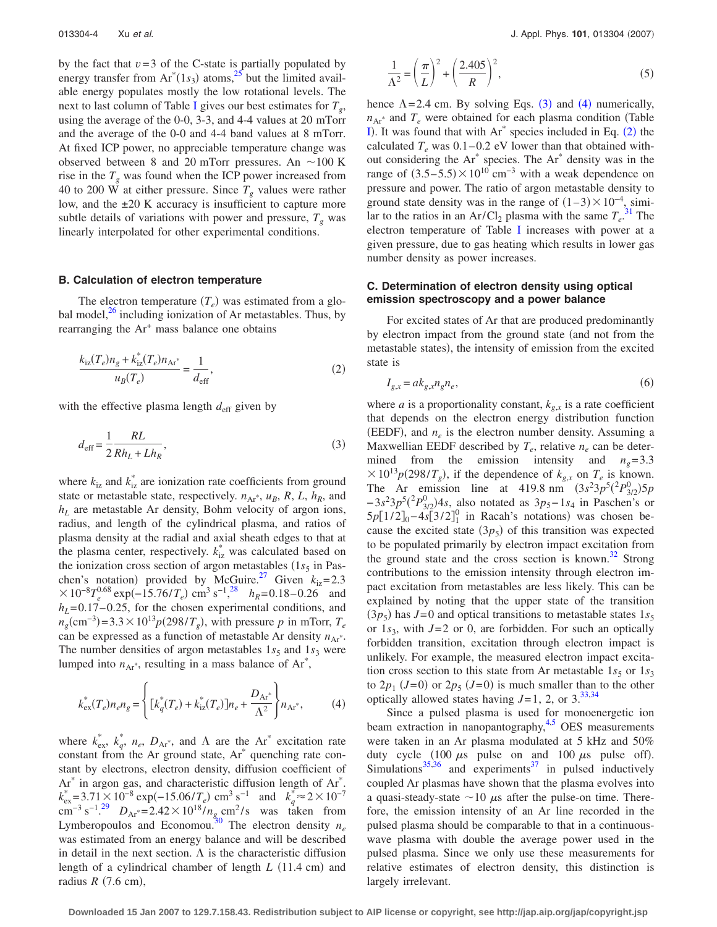by the fact that  $v=3$  of the C-state is partially populated by energy transfer from  $Ar^{*}(1s_3)$  atoms,<sup>25</sup> but the limited available energy populates mostly the low rotational levels. The next to last column of Table [I](#page-2-1) gives our best estimates for  $T_g$ , using the average of the 0-0, 3-3, and 4-4 values at 20 mTorr and the average of the 0-0 and 4-4 band values at 8 mTorr. At fixed ICP power, no appreciable temperature change was observed between 8 and 20 mTorr pressures. An  $\sim$ 100 K rise in the  $T_g$  was found when the ICP power increased from 40 to 200 W at either pressure. Since  $T_g$  values were rather low, and the ±20 K accuracy is insufficient to capture more subtle details of variations with power and pressure,  $T_g$  was linearly interpolated for other experimental conditions.

#### **B. Calculation of electron temperature**

The electron temperature  $(T_e)$  was estimated from a global model, $^{26}$  including ionization of Ar metastables. Thus, by rearranging the Ar<sup>+</sup> mass balance one obtains

<span id="page-3-2"></span>
$$
\frac{k_{iz}(T_e)n_g + k_{iz}^*(T_e)n_{Ar^*}}{u_B(T_e)} = \frac{1}{d_{\text{eff}}},\tag{2}
$$

<span id="page-3-0"></span>with the effective plasma length  $d_{\text{eff}}$  given by

$$
d_{\text{eff}} = \frac{1}{2} \frac{RL}{Rh_L + Lh_R},\tag{3}
$$

where  $k_{iz}$  and  $k_{iz}^*$  are ionization rate coefficients from ground state or metastable state, respectively.  $n_{Ar}$ ,  $u_B$ ,  $R$ ,  $L$ ,  $h_R$ , and *hL* are metastable Ar density, Bohm velocity of argon ions, radius, and length of the cylindrical plasma, and ratios of plasma density at the radial and axial sheath edges to that at the plasma center, respectively.  $k_{iz}^*$  was calculated based on the ionization cross section of argon metastables  $(1s<sub>5</sub>$  in Paschen's notation) provided by McGuire.<sup>27</sup> Given  $k_{iz}=2.3$  $\times 10^{-8}T_e^{0.68} \exp(-15.76/T_e) \text{ cm}^3 \text{ s}^{-1}$ ,<sup>[28](#page-8-22)</sup> *h<sub>R</sub>*=0.18–0.26 and  $h<sub>L</sub>=0.17-0.25$ , for the chosen experimental conditions, and  $n_g$ (cm<sup>-3</sup>)=3.3 × 10<sup>13</sup> $p(298/T_g)$ , with pressure *p* in mTorr,  $T_e$ can be expressed as a function of metastable Ar density  $n_{\text{Ar}}$ . The number densities of argon metastables  $1s<sub>5</sub>$  and  $1s<sub>3</sub>$  were lumped into  $n_{Ar}$ <sup>\*</sup>, resulting in a mass balance of  $Ar$ <sup>\*</sup>,

<span id="page-3-1"></span>
$$
k_{\rm ex}^*(T_e)n_e n_g = \left\{ \left[ k_q^*(T_e) + k_{\rm iz}^*(T_e) \right] n_e + \frac{D_{\rm Ar}^*}{\Lambda^2} \right\} n_{\rm Ar^*},\tag{4}
$$

where  $k_{\text{ex}}^*$ ,  $k_q^*$ ,  $n_e$ ,  $D_{\text{Ar}}^*$ , and  $\Lambda$  are the Ar<sup>\*</sup> excitation rate constant from the Ar ground state, Ar\* quenching rate constant by electrons, electron density, diffusion coefficient of Ar<sup>\*</sup> in argon gas, and characteristic diffusion length of Ar<sup>\*</sup>.  $k_{\text{ex}}^* = 3.71 \times 10^{-8} \exp(-15.06/T_e) \text{ cm}^3 \text{ s}^{-1}$  and  $k_q^* \approx 2 \times 10^{-7}$ cm<sup>-3</sup> s<sup>-1</sup>.<sup>[29](#page-8-23)</sup>  $D_{Ar}$  = 2.42 × 10<sup>18</sup>/ $n_g$  cm<sup>2</sup>/s was taken from Lymberopoulos and Economou.<sup>30</sup> The electron density  $n_e$ was estimated from an energy balance and will be described in detail in the next section.  $\Lambda$  is the characteristic diffusion length of a cylindrical chamber of length *L* (11.4 cm) and radius  $R$  (7.6 cm),

$$
\frac{1}{\Lambda^2} = \left(\frac{\pi}{L}\right)^2 + \left(\frac{2.405}{R}\right)^2,\tag{5}
$$

hence  $\Lambda$ =2.4 cm. By solving Eqs. ([3](#page-3-0)) and ([4](#page-3-1)) numerically,  $n_{Ar}$ <sup>\*</sup> and  $T_e$  were obtained for each plasma condition (Table [I](#page-2-1)). It was found that with  $Ar^*$  species included in Eq. ([2](#page-3-2)) the calculated  $T_e$  was  $0.1-0.2$  eV lower than that obtained without considering the Ar\* species. The Ar\* density was in the range of  $(3.5-5.5)\times10^{10}$  cm<sup>-3</sup> with a weak dependence on pressure and power. The ratio of argon metastable density to ground state density was in the range of  $(1-3) \times 10^{-4}$ , similar to the ratios in an  $Ar/Cl_2$  plasma with the same  $T_e^{31}$  $T_e^{31}$  $T_e^{31}$ . The electron temperature of Table [I](#page-2-1) increases with power at a given pressure, due to gas heating which results in lower gas number density as power increases.

## **C. Determination of electron density using optical emission spectroscopy and a power balance**

For excited states of Ar that are produced predominantly by electron impact from the ground state (and not from the metastable states), the intensity of emission from the excited state is

<span id="page-3-3"></span>
$$
I_{g,x} = ak_{g,x} n_g n_e,\tag{6}
$$

where *a* is a proportionality constant,  $k_{g,x}$  is a rate coefficient that depends on the electron energy distribution function (EEDF), and  $n_e$  is the electron number density. Assuming a Maxwellian EEDF described by  $T_e$ , relative  $n_e$  can be determined from the emission intensity and  $n<sub>g</sub> = 3.3$  $\times 10^{13} p(298/T_g)$ , if the dependence of  $k_{g,x}$  on  $T_e$  is known. The Ar emission line at 419.8 nm  $(3s^2 3p^5(^2P_{3/2}^0)5p^5$  $-3s^23p^5(^2P_{3/2}^0)4s$ , also notated as  $3p_5-1s_4$  in Paschen's or  $5p[1/2]_0 - 4s[3/2]_1^0$  in Racah's notations) was chosen because the excited state  $(3p_5)$  of this transition was expected to be populated primarily by electron impact excitation from the ground state and the cross section is known.<sup>32</sup> Strong contributions to the emission intensity through electron impact excitation from metastables are less likely. This can be explained by noting that the upper state of the transition  $(3p_5)$  has *J*=0 and optical transitions to metastable states  $1s_5$ or  $1s_3$ , with  $J=2$  or 0, are forbidden. For such an optically forbidden transition, excitation through electron impact is unlikely. For example, the measured electron impact excitation cross section to this state from Ar metastable  $1s<sub>5</sub>$  or  $1s<sub>3</sub>$ to  $2p_1$  ( $J=0$ ) or  $2p_5$  ( $J=0$ ) is much smaller than to the other optically allowed states having  $J=1$ , 2, or  $3^{33,34}$  $3^{33,34}$  $3^{33,34}$  $3^{33,34}$ 

Since a pulsed plasma is used for monoenergetic ion beam extraction in nanopantography, $4.5$  $4.5$  OES measurements were taken in an Ar plasma modulated at 5 kHz and 50% duty cycle  $(100 \mu s)$  pulse on and  $100 \mu s$  pulse off). Simulations<sup>35[,36](#page-8-30)</sup> and experiments<sup>37</sup> in pulsed inductively coupled Ar plasmas have shown that the plasma evolves into a quasi-steady-state  $\sim$  10  $\mu$ s after the pulse-on time. Therefore, the emission intensity of an Ar line recorded in the pulsed plasma should be comparable to that in a continuouswave plasma with double the average power used in the pulsed plasma. Since we only use these measurements for relative estimates of electron density, this distinction is largely irrelevant.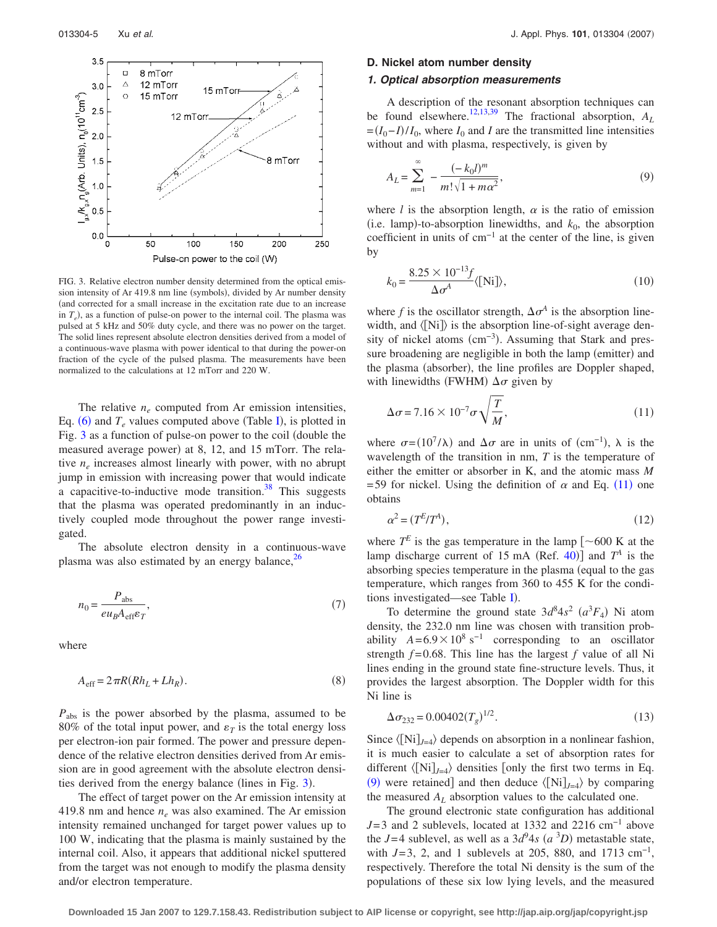<span id="page-4-0"></span>

FIG. 3. Relative electron number density determined from the optical emission intensity of Ar 419.8 nm line (symbols), divided by Ar number density and corrected for a small increase in the excitation rate due to an increase in  $T_e$ ), as a function of pulse-on power to the internal coil. The plasma was pulsed at 5 kHz and 50% duty cycle, and there was no power on the target. The solid lines represent absolute electron densities derived from a model of a continuous-wave plasma with power identical to that during the power-on fraction of the cycle of the pulsed plasma. The measurements have been normalized to the calculations at 12 mTorr and 220 W.

The relative  $n_e$  computed from Ar emission intensities, Eq.  $(6)$  $(6)$  $(6)$  and  $T_e$  values computed above (Table [I](#page-2-1)), is plotted in Fig. [3](#page-4-0) as a function of pulse-on power to the coil (double the measured average power) at 8, 12, and 15 mTorr. The relative  $n_e$  increases almost linearly with power, with no abrupt jump in emission with increasing power that would indicate a capacitive-to-inductive mode transition. $38$  This suggests that the plasma was operated predominantly in an inductively coupled mode throughout the power range investigated.

The absolute electron density in a continuous-wave plasma was also estimated by an energy balance, $26$ 

$$
n_0 = \frac{P_{\text{abs}}}{e u_B A_{\text{eff}} \varepsilon_T},\tag{7}
$$

where

$$
A_{\rm eff} = 2\pi R (Rh_L + Lh_R). \tag{8}
$$

*P*abs is the power absorbed by the plasma, assumed to be 80% of the total input power, and  $\varepsilon_T$  is the total energy loss per electron-ion pair formed. The power and pressure dependence of the relative electron densities derived from Ar emission are in good agreement with the absolute electron densi-ties derived from the energy balance (lines in Fig. [3](#page-4-0)).

The effect of target power on the Ar emission intensity at 419.8 nm and hence *ne* was also examined. The Ar emission intensity remained unchanged for target power values up to 100 W, indicating that the plasma is mainly sustained by the internal coil. Also, it appears that additional nickel sputtered from the target was not enough to modify the plasma density and/or electron temperature.

#### **D. Nickel atom number density**

## *1. Optical absorption measurements*

A description of the resonant absorption techniques can be found elsewhere.<sup>12,[13](#page-8-10)[,39](#page-8-33)</sup> The fractional absorption,  $A_L$  $= (I_0 - I)/I_0$ , where  $I_0$  and *I* are the transmitted line intensities without and with plasma, respectively, is given by

<span id="page-4-2"></span>
$$
A_L = \sum_{m=1}^{\infty} -\frac{(-k_0 l)^m}{m! \sqrt{1 + m \alpha^2}},
$$
\n(9)

where  $l$  is the absorption length,  $\alpha$  is the ratio of emission  $(i.e.$  lamp)-to-absorption linewidths, and  $k_0$ , the absorption coefficient in units of cm−1 at the center of the line, is given by

$$
k_0 = \frac{8.25 \times 10^{-13} f}{\Delta \sigma^A} \langle \text{[Ni]} \rangle,
$$
 (10)

where f is the oscillator strength,  $\Delta \sigma^4$  is the absorption linewidth, and  $\langle$ [Ni] $\rangle$  is the absorption line-of-sight average density of nickel atoms (cm<sup>-3</sup>). Assuming that Stark and pressure broadening are negligible in both the lamp (emitter) and the plasma (absorber), the line profiles are Doppler shaped, with linewidths (FWHM)  $\Delta \sigma$  given by

<span id="page-4-1"></span>
$$
\Delta \sigma = 7.16 \times 10^{-7} \sigma \sqrt{\frac{T}{M}}, \qquad (11)
$$

where  $\sigma = (10^7/\lambda)$  and  $\Delta \sigma$  are in units of (cm<sup>-1</sup>),  $\lambda$  is the wavelength of the transition in nm, *T* is the temperature of either the emitter or absorber in K, and the atomic mass *M* =59 for nickel. Using the definition of  $\alpha$  and Eq. ([11](#page-4-1)) one obtains

$$
\alpha^2 = (T^E/T^A),\tag{12}
$$

where  $T^E$  is the gas temperature in the lamp  $\lceil \sim 600 \rceil$  K at the lamp discharge current of 15 mA (Ref. [40](#page-8-34))] and  $T^A$  is the absorbing species temperature in the plasma (equal to the gas temperature, which ranges from 360 to 455 K for the condi-tions investigated—see Table [I](#page-2-1)).

To determine the ground state  $3d^8 4s^2$   $(a^3 F_4)$  Ni atom density, the 232.0 nm line was chosen with transition probability  $A=6.9\times10^8$  s<sup>-1</sup> corresponding to an oscillator strength  $f = 0.68$ . This line has the largest  $f$  value of all Ni lines ending in the ground state fine-structure levels. Thus, it provides the largest absorption. The Doppler width for this Ni line is

$$
\Delta \sigma_{232} = 0.00402(T_g)^{1/2}.
$$
\n(13)

Since  $\langle [Ni]_{J=4} \rangle$  depends on absorption in a nonlinear fashion, it is much easier to calculate a set of absorption rates for different  $\langle [Ni]_{J=4} \rangle$  densities [only the first two terms in Eq. ([9](#page-4-2)) were retained] and then deduce  $\langle [Ni]_{J=4} \rangle$  by comparing the measured  $A_L$  absorption values to the calculated one.

The ground electronic state configuration has additional *J*=3 and 2 sublevels, located at 1332 and 2216 cm<sup>-1</sup> above the  $J=4$  sublevel, as well as a  $3d^9 4s$   $(a^3D)$  metastable state, with  $J=3$ , 2, and 1 sublevels at 205, 880, and 1713 cm<sup>-1</sup>, respectively. Therefore the total Ni density is the sum of the populations of these six low lying levels, and the measured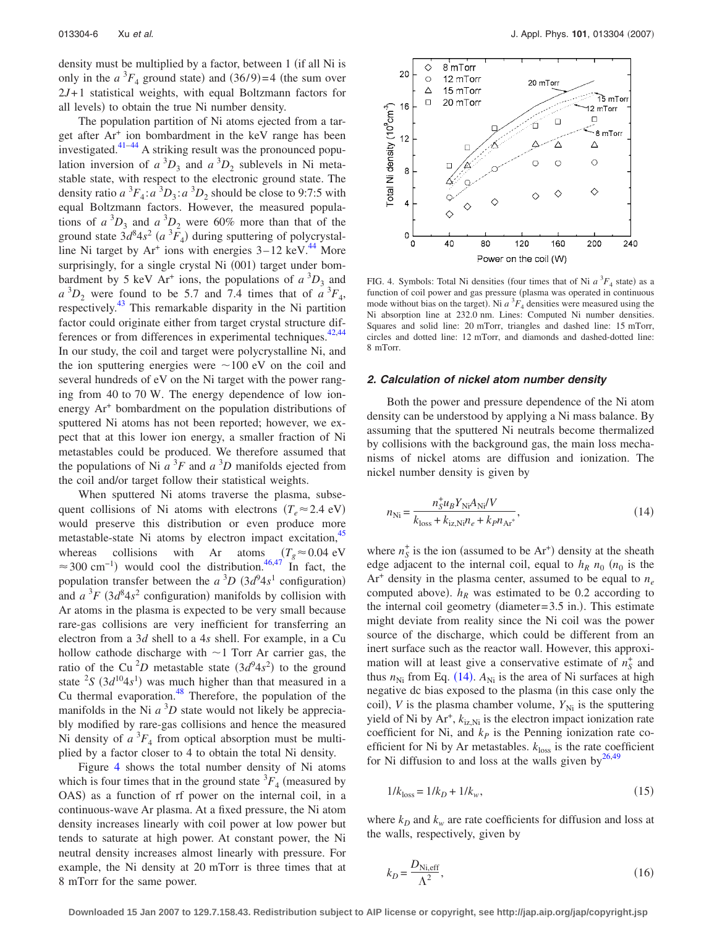density must be multiplied by a factor, between 1 (if all Ni is only in the  $a^3F_4$  ground state) and  $(36/9)=4$  (the sum over 2*J*+1 statistical weights, with equal Boltzmann factors for all levels) to obtain the true Ni number density.

The population partition of Ni atoms ejected from a target after Ar+ ion bombardment in the keV range has been investigated. $41-44$  $41-44$  A striking result was the pronounced population inversion of  $a^3D_3$  and  $a^3D_2$  sublevels in Ni metastable state, with respect to the electronic ground state. The density ratio  $a^3F_4$ :  $a^3D_3$ :  $a^3D_2$  should be close to 9:7:5 with equal Boltzmann factors. However, the measured populations of  $a^3D_3$  and  $a^3D_2$  were 60% more than that of the ground state  $3d^8 4s^2$  ( $a^3F_4$ ) during sputtering of polycrystalline Ni target by  $Ar^+$  ions with energies  $3-12$  keV.<sup>44</sup> More surprisingly, for a single crystal Ni (001) target under bombardment by 5 keV Ar<sup>+</sup> ions, the populations of  $a^{3}D_{3}$  and  $a^{3}D_{2}$  were found to be 5.7 and 7.4 times that of  $a^{3}F_{4}$ , respectively.<sup>43</sup> This remarkable disparity in the Ni partition factor could originate either from target crystal structure differences or from differences in experimental techniques. $42,44$  $42,44$ In our study, the coil and target were polycrystalline Ni, and the ion sputtering energies were  $\sim$ 100 eV on the coil and several hundreds of eV on the Ni target with the power ranging from 40 to 70 W. The energy dependence of low ionenergy Ar+ bombardment on the population distributions of sputtered Ni atoms has not been reported; however, we expect that at this lower ion energy, a smaller fraction of Ni metastables could be produced. We therefore assumed that the populations of Ni  $a^3F$  and  $a^3D$  manifolds ejected from the coil and/or target follow their statistical weights.

When sputtered Ni atoms traverse the plasma, subsequent collisions of Ni atoms with electrons  $(T_e \approx 2.4 \text{ eV})$ would preserve this distribution or even produce more metastable-state Ni atoms by electron impact excitation,<sup>45</sup> whereas collisions with Ar atoms  $(T_g \approx 0.04 \text{ eV})$  $\approx$  300 cm<sup>-1</sup>) would cool the distribution.<sup>46,[47](#page-8-40)</sup> In fact, the population transfer between the  $a^{3}D(3d^{9}4s^{1}$  configuration) and  $a^3F$  ( $3d^84s^2$  configuration) manifolds by collision with Ar atoms in the plasma is expected to be very small because rare-gas collisions are very inefficient for transferring an electron from a 3*d* shell to a 4*s* shell. For example, in a Cu hollow cathode discharge with  $\sim$ 1 Torr Ar carrier gas, the ratio of the Cu<sup>2</sup>D metastable state  $(3d^94s^2)$  to the ground state  ${}^{2}S$  (3 $d^{10}4s^{1}$ ) was much higher than that measured in a Cu thermal evaporation. $48$  Therefore, the population of the manifolds in the Ni  $a^3D$  state would not likely be appreciably modified by rare-gas collisions and hence the measured Ni density of  $a^3F_4$  from optical absorption must be multiplied by a factor closer to 4 to obtain the total Ni density.

Figure [4](#page-5-0) shows the total number density of Ni atoms which is four times that in the ground state  ${}^{3}F_{4}$  (measured by OAS) as a function of rf power on the internal coil, in a continuous-wave Ar plasma. At a fixed pressure, the Ni atom density increases linearly with coil power at low power but tends to saturate at high power. At constant power, the Ni neutral density increases almost linearly with pressure. For example, the Ni density at 20 mTorr is three times that at 8 mTorr for the same power.

<span id="page-5-0"></span>

FIG. 4. Symbols: Total Ni densities (four times that of Ni  $a^3F_4$  state) as a function of coil power and gas pressure (plasma was operated in continuous mode without bias on the target). Ni  $a<sup>3</sup>F<sub>4</sub>$  densities were measured using the Ni absorption line at 232.0 nm. Lines: Computed Ni number densities. Squares and solid line: 20 mTorr, triangles and dashed line: 15 mTorr, circles and dotted line: 12 mTorr, and diamonds and dashed-dotted line: 8 mTorr.

#### *2. Calculation of nickel atom number density*

Both the power and pressure dependence of the Ni atom density can be understood by applying a Ni mass balance. By assuming that the sputtered Ni neutrals become thermalized by collisions with the background gas, the main loss mechanisms of nickel atoms are diffusion and ionization. The nickel number density is given by

<span id="page-5-1"></span>
$$
n_{\rm Ni} = \frac{n_S^+ u_B Y_{\rm Ni} A_{\rm Ni} / V}{k_{\rm loss} + k_{iz, \rm Ni} n_e + k_P n_{\rm Ar^*}},\tag{14}
$$

where  $n_S^+$  is the ion (assumed to be  $Ar^+$ ) density at the sheath edge adjacent to the internal coil, equal to  $h_R n_0$  ( $n_0$  is the  $Ar<sup>+</sup>$  density in the plasma center, assumed to be equal to  $n_e$ computed above).  $h_R$  was estimated to be 0.2 according to the internal coil geometry (diameter= $3.5$  in.). This estimate might deviate from reality since the Ni coil was the power source of the discharge, which could be different from an inert surface such as the reactor wall. However, this approximation will at least give a conservative estimate of  $n_S^+$  and thus  $n_{\text{Ni}}$  from Eq. ([14](#page-5-1)).  $A_{\text{Ni}}$  is the area of Ni surfaces at high negative dc bias exposed to the plasma (in this case only the coil), *V* is the plasma chamber volume,  $Y_{\text{Ni}}$  is the sputtering yield of Ni by  $Ar^+$ ,  $k_{iz,Ni}$  is the electron impact ionization rate coefficient for Ni, and  $k<sub>p</sub>$  is the Penning ionization rate coefficient for Ni by Ar metastables.  $k_{\text{loss}}$  is the rate coefficient for Ni diffusion to and loss at the walls given by $^{26,49}$  $^{26,49}$  $^{26,49}$ 

$$
1/k_{\text{loss}} = 1/k_D + 1/k_w,\tag{15}
$$

where  $k_D$  and  $k_w$  are rate coefficients for diffusion and loss at the walls, respectively, given by

$$
k_D = \frac{D_{\text{Ni,eff}}}{\Lambda^2},\tag{16}
$$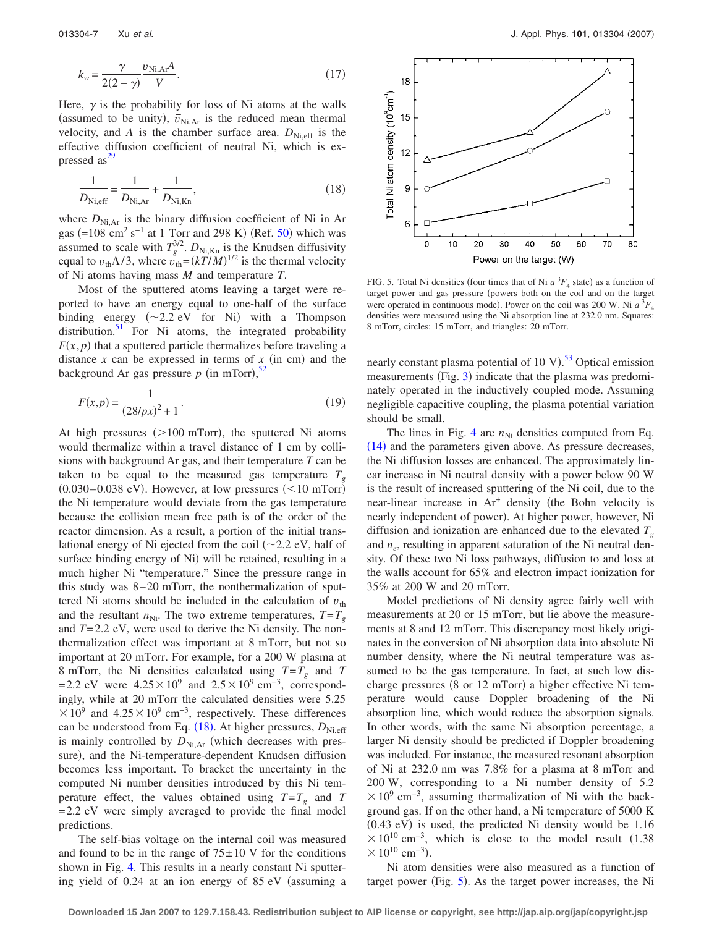$$
k_w = \frac{\gamma}{2(2-\gamma)} \frac{\bar{v}_{\text{Ni,Ar}} A}{V}.
$$
\n(17)

Here,  $\gamma$  is the probability for loss of Ni atoms at the walls (assumed to be unity),  $\bar{v}_{Ni,Ar}$  is the reduced mean thermal velocity, and *A* is the chamber surface area.  $D_{\text{Ni,eff}}$  is the effective diffusion coefficient of neutral Ni, which is expressed as $^{29}$ 

<span id="page-6-0"></span>
$$
\frac{1}{D_{\text{Ni,eff}}} = \frac{1}{D_{\text{Ni,Ar}}} + \frac{1}{D_{\text{Ni,Kn}}},\tag{18}
$$

where  $D_{\text{Ni,Ar}}$  is the binary diffusion coefficient of Ni in Ar gas  $(=108 \text{ cm}^2 \text{ s}^{-1}$  at 1 Torr and 298 K) (Ref. [50](#page-8-43)) which was assumed to scale with  $T_g^{3/2}$ .  $D_{\text{Ni,Kn}}$  is the Knudsen diffusivity equal to  $v_{\text{th}}\Lambda/3$ , where  $v_{\text{th}} = (kT/M)^{1/2}$  is the thermal velocity of Ni atoms having mass *M* and temperature *T*.

Most of the sputtered atoms leaving a target were reported to have an energy equal to one-half of the surface binding energy  $(\sim 2.2 \text{ eV}$  for Ni) with a Thompson distribution. $51$  For Ni atoms, the integrated probability  $F(x, p)$  that a sputtered particle thermalizes before traveling a distance  $x$  can be expressed in terms of  $x$  (in cm) and the background Ar gas pressure  $p$  (in mTorr),<sup>[52](#page-8-45)</sup>

$$
F(x,p) = \frac{1}{(28/px)^2 + 1}.
$$
\n(19)

At high pressures  $(>100$  mTorr), the sputtered Ni atoms would thermalize within a travel distance of 1 cm by collisions with background Ar gas, and their temperature *T* can be taken to be equal to the measured gas temperature  $T<sub>g</sub>$  $(0.030 - 0.038$  eV). However, at low pressures  $(< 10$  mTorr) the Ni temperature would deviate from the gas temperature because the collision mean free path is of the order of the reactor dimension. As a result, a portion of the initial translational energy of Ni ejected from the coil  $(\sim 2.2 \text{ eV})$ , half of surface binding energy of Ni) will be retained, resulting in a much higher Ni "temperature." Since the pressure range in this study was 8–20 mTorr, the nonthermalization of sputtered Ni atoms should be included in the calculation of  $v_{\text{th}}$ and the resultant  $n_{\text{Ni}}$ . The two extreme temperatures,  $T = T_g$ and *T*=2.2 eV, were used to derive the Ni density. The nonthermalization effect was important at 8 mTorr, but not so important at 20 mTorr. For example, for a 200 W plasma at 8 mTorr, the Ni densities calculated using  $T = T_g$  and *T* =2.2 eV were  $4.25\times10^9$  and  $2.5\times10^9$  cm<sup>-3</sup>, correspondingly, while at 20 mTorr the calculated densities were 5.25  $\times 10^9$  and  $4.25\times10^9$  cm<sup>-3</sup>, respectively. These differences can be understood from Eq. ([18](#page-6-0)). At higher pressures,  $D_{Ni,eff}$ is mainly controlled by  $D_{\text{Ni,Ar}}$  (which decreases with pressure), and the Ni-temperature-dependent Knudsen diffusion becomes less important. To bracket the uncertainty in the computed Ni number densities introduced by this Ni temperature effect, the values obtained using  $T = T_g$  and *T* =2.2 eV were simply averaged to provide the final model predictions.

The self-bias voltage on the internal coil was measured and found to be in the range of  $75\pm10$  V for the conditions shown in Fig. [4.](#page-5-0) This results in a nearly constant Ni sputtering yield of 0.24 at an ion energy of 85 eV (assuming a

<span id="page-6-1"></span>

FIG. 5. Total Ni densities (four times that of Ni  $a^3F_4$  state) as a function of target power and gas pressure (powers both on the coil and on the target were operated in continuous mode). Power on the coil was 200 W. Ni  $a^3F_4$ densities were measured using the Ni absorption line at 232.0 nm. Squares: 8 mTorr, circles: 15 mTorr, and triangles: 20 mTorr.

nearly constant plasma potential of 10 V).<sup>[53](#page-8-46)</sup> Optical emission measurements (Fig. [3](#page-4-0)) indicate that the plasma was predominately operated in the inductively coupled mode. Assuming negligible capacitive coupling, the plasma potential variation should be small.

The lines in Fig. [4](#page-5-0) are  $n_{\text{Ni}}$  densities computed from Eq. ([14](#page-5-1)) and the parameters given above. As pressure decreases, the Ni diffusion losses are enhanced. The approximately linear increase in Ni neutral density with a power below 90 W is the result of increased sputtering of the Ni coil, due to the near-linear increase in  $Ar^+$  density (the Bohn velocity is nearly independent of power). At higher power, however, Ni diffusion and ionization are enhanced due to the elevated  $T<sub>g</sub>$ and  $n_e$ , resulting in apparent saturation of the Ni neutral density. Of these two Ni loss pathways, diffusion to and loss at the walls account for 65% and electron impact ionization for 35% at 200 W and 20 mTorr.

Model predictions of Ni density agree fairly well with measurements at 20 or 15 mTorr, but lie above the measurements at 8 and 12 mTorr. This discrepancy most likely originates in the conversion of Ni absorption data into absolute Ni number density, where the Ni neutral temperature was assumed to be the gas temperature. In fact, at such low discharge pressures (8 or 12 mTorr) a higher effective Ni temperature would cause Doppler broadening of the Ni absorption line, which would reduce the absorption signals. In other words, with the same Ni absorption percentage, a larger Ni density should be predicted if Doppler broadening was included. For instance, the measured resonant absorption of Ni at 232.0 nm was 7.8% for a plasma at 8 mTorr and 200 W, corresponding to a Ni number density of 5.2  $\times 10^{9}$  cm<sup>-3</sup>, assuming thermalization of Ni with the background gas. If on the other hand, a Ni temperature of 5000 K  $(0.43$  eV) is used, the predicted Ni density would be  $1.16$  $\times 10^{10}$  cm<sup>-3</sup>, which is close to the model result (1.38  $\times 10^{10}$  cm<sup>-3</sup>).

Ni atom densities were also measured as a function of target power (Fig. [5](#page-6-1)). As the target power increases, the Ni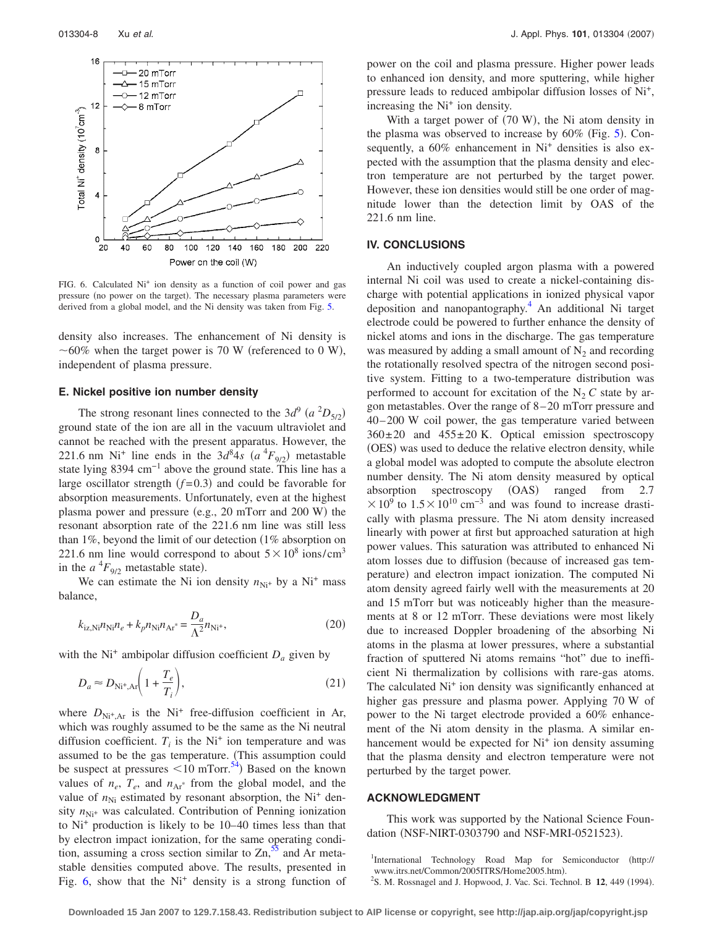<span id="page-7-2"></span>

FIG. 6. Calculated Ni<sup>+</sup> ion density as a function of coil power and gas pressure (no power on the target). The necessary plasma parameters were derived from a global model, and the Ni density was taken from Fig. [5.](#page-6-1)

density also increases. The enhancement of Ni density is  $\sim$  60% when the target power is 70 W (referenced to 0 W), independent of plasma pressure.

## **E. Nickel positive ion number density**

The strong resonant lines connected to the  $3d^9$   $(a^2D_{5/2})$ ground state of the ion are all in the vacuum ultraviolet and cannot be reached with the present apparatus. However, the 221.6 nm Ni<sup>+</sup> line ends in the  $3d^8 4s$   $(a^4 F_{9/2})$  metastable state lying 8394 cm−1 above the ground state. This line has a large oscillator strength  $(f=0.3)$  and could be favorable for absorption measurements. Unfortunately, even at the highest plasma power and pressure (e.g., 20 mTorr and 200 W) the resonant absorption rate of the 221.6 nm line was still less than  $1\%$ , beyond the limit of our detection  $(1\%$  absorption on 221.6 nm line would correspond to about  $5 \times 10^8$  ions/cm<sup>3</sup> in the  $a^{4}F_{9/2}$  metastable state).

We can estimate the Ni ion density  $n_{\text{Ni}^+}$  by a Ni<sup>+</sup> mass balance,

$$
k_{iz,Ni}n_{Ni}n_e + k_p n_{Ni}n_{Ar^*} = \frac{D_a}{\Lambda^2}n_{Ni^+},
$$
\n(20)

with the Ni<sup>+</sup> ambipolar diffusion coefficient  $D_a$  given by

$$
D_a \approx D_{\text{Ni}^+, \text{Ar}} \bigg( 1 + \frac{T_e}{T_i} \bigg),\tag{21}
$$

where  $D_{\text{Ni}^+,\text{Ar}}$  is the Ni<sup>+</sup> free-diffusion coefficient in Ar, which was roughly assumed to be the same as the Ni neutral diffusion coefficient.  $T_i$  is the Ni<sup>+</sup> ion temperature and was assumed to be the gas temperature. This assumption could be suspect at pressures  $\leq 10$  mTorr.<sup>54</sup>) Based on the known values of  $n_e$ ,  $T_e$ , and  $n_{Ar}$ <sup>\*</sup> from the global model, and the value of  $n_{\text{Ni}}$  estimated by resonant absorption, the Ni<sup>+</sup> density  $n_{\text{Ni}^+}$  was calculated. Contribution of Penning ionization to  $Ni<sup>+</sup>$  production is likely to be  $10-40$  times less than that by electron impact ionization, for the same operating condition, assuming a cross section similar to  $\text{Zn}$ ,  $\text{S}^5$  and Ar metastable densities computed above. The results, presented in Fig.  $6$ , show that the Ni<sup>+</sup> density is a strong function of power on the coil and plasma pressure. Higher power leads to enhanced ion density, and more sputtering, while higher pressure leads to reduced ambipolar diffusion losses of Ni+, increasing the  $Ni<sup>+</sup>$  ion density.

With a target power of (70 W), the Ni atom density in the plasma was observed to increase by  $60\%$  (Fig. [5](#page-6-1)). Consequently, a  $60\%$  enhancement in Ni<sup>+</sup> densities is also expected with the assumption that the plasma density and electron temperature are not perturbed by the target power. However, these ion densities would still be one order of magnitude lower than the detection limit by OAS of the 221.6 nm line.

# **IV. CONCLUSIONS**

An inductively coupled argon plasma with a powered internal Ni coil was used to create a nickel-containing discharge with potential applications in ionized physical vapor deposition and nanopantography[.4](#page-8-1) An additional Ni target electrode could be powered to further enhance the density of nickel atoms and ions in the discharge. The gas temperature was measured by adding a small amount of  $N_2$  and recording the rotationally resolved spectra of the nitrogen second positive system. Fitting to a two-temperature distribution was performed to account for excitation of the  $N_2 C$  state by argon metastables. Over the range of 8–20 mTorr pressure and 40–200 W coil power, the gas temperature varied between  $360\pm20$  and  $455\pm20$  K. Optical emission spectroscopy (OES) was used to deduce the relative electron density, while a global model was adopted to compute the absolute electron number density. The Ni atom density measured by optical absorption spectroscopy (OAS) ranged from 2.7  $\times$ 10<sup>9</sup> to 1.5 × 10<sup>10</sup> cm<sup>-3</sup> and was found to increase drastically with plasma pressure. The Ni atom density increased linearly with power at first but approached saturation at high power values. This saturation was attributed to enhanced Ni atom losses due to diffusion (because of increased gas temperature) and electron impact ionization. The computed Ni atom density agreed fairly well with the measurements at 20 and 15 mTorr but was noticeably higher than the measurements at 8 or 12 mTorr. These deviations were most likely due to increased Doppler broadening of the absorbing Ni atoms in the plasma at lower pressures, where a substantial fraction of sputtered Ni atoms remains "hot" due to inefficient Ni thermalization by collisions with rare-gas atoms. The calculated Ni<sup>+</sup> ion density was significantly enhanced at higher gas pressure and plasma power. Applying 70 W of power to the Ni target electrode provided a 60% enhancement of the Ni atom density in the plasma. A similar enhancement would be expected for Ni<sup>+</sup> ion density assuming that the plasma density and electron temperature were not perturbed by the target power.

### **ACKNOWLEDGMENT**

This work was supported by the National Science Foundation (NSF-NIRT-0303790 and NSF-MRI-0521523).

<span id="page-7-1"></span>S. M. Rossnagel and J. Hopwood, J. Vac. Sci. Technol. B 12, 449 (1994).

<span id="page-7-0"></span><sup>&</sup>lt;sup>1</sup>International Technology Road Map for Semiconductor (http:// www.itrs.net/Common/2005ITRS/Home2005.htm.